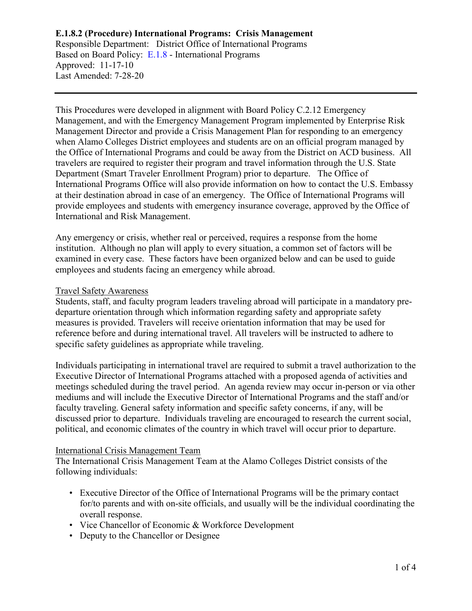# **E.1.8.2 (Procedure) International Programs: Crisis Management**

Responsible Department: District Office of International Programs Based on Board Policy: [E.1.8](https://www.alamo.edu/siteassets/district/about-us/leadership/board-of-trustees/policies-pdfs/section-e/e.1.8-policy.pdf) - International Programs Approved: 11-17-10 Last Amended: 7-28-20

This Procedures were developed in alignment with Board Policy C.2.12 Emergency Management, and with the Emergency Management Program implemented by Enterprise Risk Management Director and provide a Crisis Management Plan for responding to an emergency when Alamo Colleges District employees and students are on an official program managed by the Office of International Programs and could be away from the District on ACD business. All travelers are required to register their program and travel information through the U.S. State Department (Smart Traveler Enrollment Program) prior to departure. The Office of International Programs Office will also provide information on how to contact the U.S. Embassy at their destination abroad in case of an emergency. The Office of International Programs will provide employees and students with emergency insurance coverage, approved by the Office of International and Risk Management.

Any emergency or crisis, whether real or perceived, requires a response from the home institution. Although no plan will apply to every situation, a common set of factors will be examined in every case. These factors have been organized below and can be used to guide employees and students facing an emergency while abroad.

#### Travel Safety Awareness

Students, staff, and faculty program leaders traveling abroad will participate in a mandatory predeparture orientation through which information regarding safety and appropriate safety measures is provided. Travelers will receive orientation information that may be used for reference before and during international travel. All travelers will be instructed to adhere to specific safety guidelines as appropriate while traveling.

Individuals participating in international travel are required to submit a travel authorization to the Executive Director of International Programs attached with a proposed agenda of activities and meetings scheduled during the travel period. An agenda review may occur in-person or via other mediums and will include the Executive Director of International Programs and the staff and/or faculty traveling. General safety information and specific safety concerns, if any, will be discussed prior to departure. Individuals traveling are encouraged to research the current social, political, and economic climates of the country in which travel will occur prior to departure.

#### International Crisis Management Team

The International Crisis Management Team at the Alamo Colleges District consists of the following individuals:

- Executive Director of the Office of International Programs will be the primary contact for/to parents and with on-site officials, and usually will be the individual coordinating the overall response.
- Vice Chancellor of Economic & Workforce Development
- Deputy to the Chancellor or Designee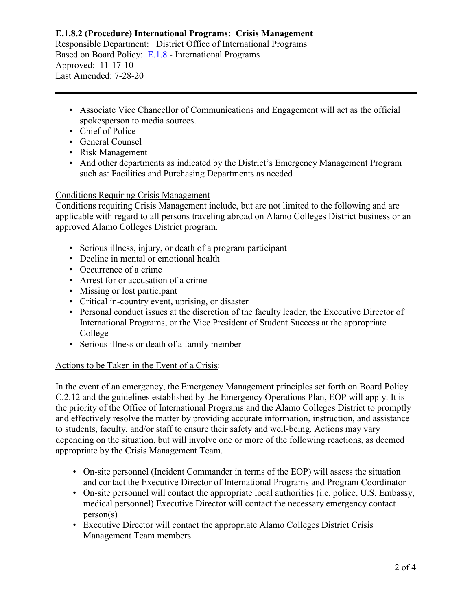# **E.1.8.2 (Procedure) International Programs: Crisis Management**

Responsible Department: District Office of International Programs Based on Board Policy: [E.1.8](https://www.alamo.edu/siteassets/district/about-us/leadership/board-of-trustees/policies-pdfs/section-e/e.1.8-policy.pdf) - International Programs Approved: 11-17-10 Last Amended: 7-28-20

- Associate Vice Chancellor of Communications and Engagement will act as the official spokesperson to media sources.
- Chief of Police
- General Counsel
- Risk Management
- And other departments as indicated by the District's Emergency Management Program such as: Facilities and Purchasing Departments as needed

## Conditions Requiring Crisis Management

Conditions requiring Crisis Management include, but are not limited to the following and are applicable with regard to all persons traveling abroad on Alamo Colleges District business or an approved Alamo Colleges District program.

- Serious illness, injury, or death of a program participant
- Decline in mental or emotional health
- Occurrence of a crime
- Arrest for or accusation of a crime
- Missing or lost participant
- Critical in-country event, uprising, or disaster
- Personal conduct issues at the discretion of the faculty leader, the Executive Director of International Programs, or the Vice President of Student Success at the appropriate College
- Serious illness or death of a family member

## Actions to be Taken in the Event of a Crisis:

In the event of an emergency, the Emergency Management principles set forth on Board Policy C.2.12 and the guidelines established by the Emergency Operations Plan, EOP will apply. It is the priority of the Office of International Programs and the Alamo Colleges District to promptly and effectively resolve the matter by providing accurate information, instruction, and assistance to students, faculty, and/or staff to ensure their safety and well-being. Actions may vary depending on the situation, but will involve one or more of the following reactions, as deemed appropriate by the Crisis Management Team.

- On-site personnel (Incident Commander in terms of the EOP) will assess the situation and contact the Executive Director of International Programs and Program Coordinator
- On-site personnel will contact the appropriate local authorities (i.e. police, U.S. Embassy, medical personnel) Executive Director will contact the necessary emergency contact person(s)
- Executive Director will contact the appropriate Alamo Colleges District Crisis Management Team members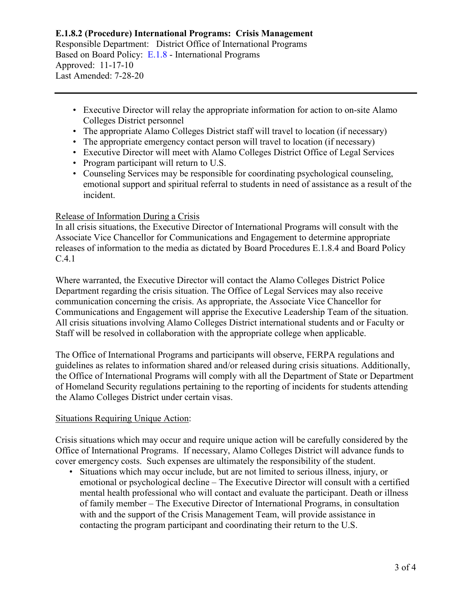## **E.1.8.2 (Procedure) International Programs: Crisis Management** Responsible Department: District Office of International Programs Based on Board Policy: [E.1.8](https://www.alamo.edu/siteassets/district/about-us/leadership/board-of-trustees/policies-pdfs/section-e/e.1.8-policy.pdf) - International Programs Approved: 11-17-10 Last Amended: 7-28-20

- Executive Director will relay the appropriate information for action to on-site Alamo Colleges District personnel
- The appropriate Alamo Colleges District staff will travel to location (if necessary)
- The appropriate emergency contact person will travel to location (if necessary)
- Executive Director will meet with Alamo Colleges District Office of Legal Services
- Program participant will return to U.S.
- Counseling Services may be responsible for coordinating psychological counseling, emotional support and spiritual referral to students in need of assistance as a result of the incident.

## Release of Information During a Crisis

In all crisis situations, the Executive Director of International Programs will consult with the Associate Vice Chancellor for Communications and Engagement to determine appropriate releases of information to the media as dictated by Board Procedures E.1.8.4 and Board Policy C.4.1

Where warranted, the Executive Director will contact the Alamo Colleges District Police Department regarding the crisis situation. The Office of Legal Services may also receive communication concerning the crisis. As appropriate, the Associate Vice Chancellor for Communications and Engagement will apprise the Executive Leadership Team of the situation. All crisis situations involving Alamo Colleges District international students and or Faculty or Staff will be resolved in collaboration with the appropriate college when applicable.

The Office of International Programs and participants will observe, FERPA regulations and guidelines as relates to information shared and/or released during crisis situations. Additionally, the Office of International Programs will comply with all the Department of State or Department of Homeland Security regulations pertaining to the reporting of incidents for students attending the Alamo Colleges District under certain visas.

## Situations Requiring Unique Action:

Crisis situations which may occur and require unique action will be carefully considered by the Office of International Programs. If necessary, Alamo Colleges District will advance funds to cover emergency costs. Such expenses are ultimately the responsibility of the student.

• Situations which may occur include, but are not limited to serious illness, injury, or emotional or psychological decline – The Executive Director will consult with a certified mental health professional who will contact and evaluate the participant. Death or illness of family member – The Executive Director of International Programs, in consultation with and the support of the Crisis Management Team, will provide assistance in contacting the program participant and coordinating their return to the U.S.